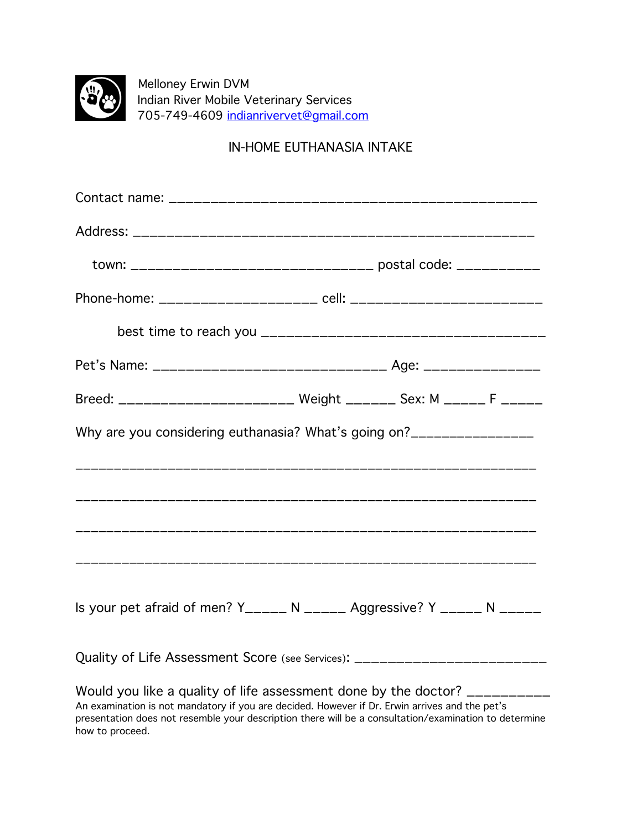

 Melloney Erwin DVM Indian River Mobile Veterinary Services 705-749-4609 [indianrivervet@gmail.com](mailto:indianrivervet@gmail.com)

## IN-HOME EUTHANASIA INTAKE

| town: __________________________________ postal code: ___________                                                                                                                                                                                                                             |  |  |
|-----------------------------------------------------------------------------------------------------------------------------------------------------------------------------------------------------------------------------------------------------------------------------------------------|--|--|
|                                                                                                                                                                                                                                                                                               |  |  |
|                                                                                                                                                                                                                                                                                               |  |  |
|                                                                                                                                                                                                                                                                                               |  |  |
| Breed: ________________________ Weight _______ Sex: M ______ F ______                                                                                                                                                                                                                         |  |  |
| Why are you considering euthanasia? What's going on?_________________                                                                                                                                                                                                                         |  |  |
|                                                                                                                                                                                                                                                                                               |  |  |
|                                                                                                                                                                                                                                                                                               |  |  |
|                                                                                                                                                                                                                                                                                               |  |  |
|                                                                                                                                                                                                                                                                                               |  |  |
| Is your pet afraid of men? Y_____ N _____ Aggressive? Y _____ N _____                                                                                                                                                                                                                         |  |  |
| Quality of Life Assessment Score (see Services): ______                                                                                                                                                                                                                                       |  |  |
| Would you like a quality of life assessment done by the doctor?<br>An examination is not mandatory if you are decided. However if Dr. Erwin arrives and the pet's<br>presentation does not resemble your description there will be a consultation/examination to determine<br>how to proceed. |  |  |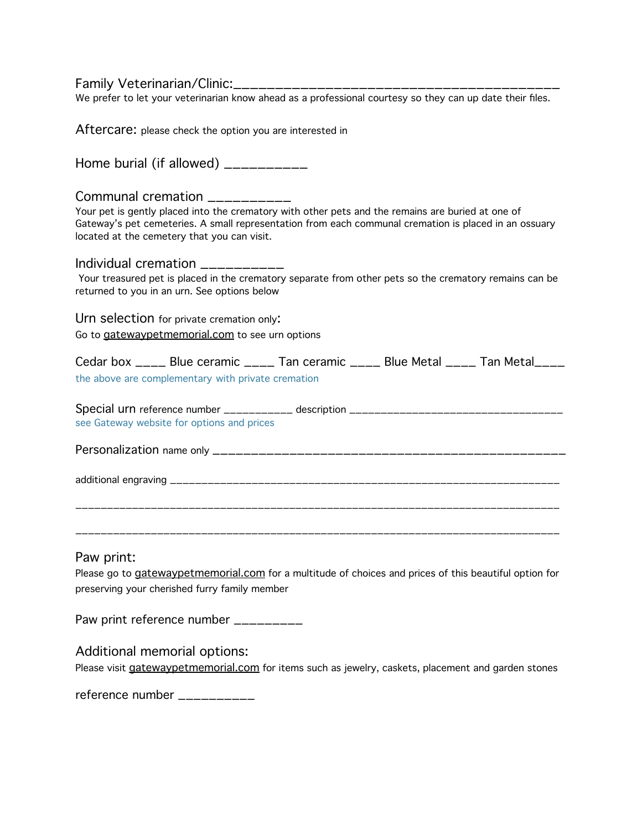Family Veterinarian/Clinic:\_\_\_\_\_\_\_\_\_\_\_\_\_\_\_\_\_\_\_\_\_\_\_\_\_\_\_\_\_\_\_\_\_\_\_\_\_\_\_

We prefer to let your veterinarian know ahead as a professional courtesy so they can up date their files.

| Aftercare: please check the option you are interested in                                                                                                                                                                                                                                   |  |  |  |
|--------------------------------------------------------------------------------------------------------------------------------------------------------------------------------------------------------------------------------------------------------------------------------------------|--|--|--|
| Home burial (if allowed) $\frac{1}{2}$                                                                                                                                                                                                                                                     |  |  |  |
| Communal cremation __________<br>Your pet is gently placed into the crematory with other pets and the remains are buried at one of<br>Gateway's pet cemeteries. A small representation from each communal cremation is placed in an ossuary<br>located at the cemetery that you can visit. |  |  |  |
| Individual cremation __________<br>Your treasured pet is placed in the crematory separate from other pets so the crematory remains can be<br>returned to you in an urn. See options below                                                                                                  |  |  |  |
| Urn selection for private cremation only:<br>Go to gatewaypetmemorial.com to see urn options                                                                                                                                                                                               |  |  |  |
| Cedar box ____ Blue ceramic ____ Tan ceramic ____ Blue Metal ____ Tan Metal ____<br>the above are complementary with private cremation                                                                                                                                                     |  |  |  |
| Special urn reference number ___________ description ____________________________<br>see Gateway website for options and prices                                                                                                                                                            |  |  |  |
|                                                                                                                                                                                                                                                                                            |  |  |  |
|                                                                                                                                                                                                                                                                                            |  |  |  |
| Paw print:                                                                                                                                                                                                                                                                                 |  |  |  |
| Please go to gatewaypetmemorial.com for a multitude of choices and prices of this beautiful option for<br>preserving your cherished furry family member                                                                                                                                    |  |  |  |
| Paw print reference number _________                                                                                                                                                                                                                                                       |  |  |  |
| Additional memorial options:                                                                                                                                                                                                                                                               |  |  |  |

Please visit **gatewaypetmemorial.com** for items such as jewelry, caskets, placement and garden stones

reference number \_\_\_\_\_\_\_\_\_\_\_